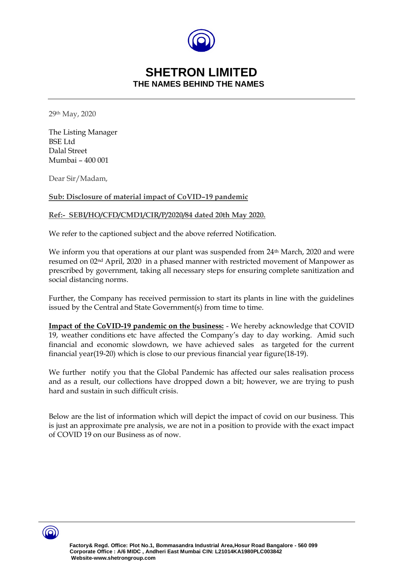

## **SHETRON LIMITED THE NAMES BEHIND THE NAMES**

29th May, 2020

The Listing Manager BSE Ltd Dalal Street Mumbai – 400 001

Dear Sir/Madam,

#### **Sub: Disclosure of material impact of CoVID–19 pandemic**

#### **Ref:- SEBI/HO/CFD/CMD1/CIR/P/2020/84 dated 20th May 2020.**

We refer to the captioned subject and the above referred Notification.

We inform you that operations at our plant was suspended from  $24<sup>th</sup>$  March, 2020 and were resumed on 02nd April, 2020 in a phased manner with restricted movement of Manpower as prescribed by government, taking all necessary steps for ensuring complete sanitization and social distancing norms.

Further, the Company has received permission to start its plants in line with the guidelines issued by the Central and State Government(s) from time to time.

**Impact of the CoVID-19 pandemic on the business:** - We hereby acknowledge that COVID 19, weather conditions etc have affected the Company's day to day working. Amid such financial and economic slowdown, we have achieved sales as targeted for the current financial year(19-20) which is close to our previous financial year figure(18-19).

We further notify you that the Global Pandemic has affected our sales realisation process and as a result, our collections have dropped down a bit; however, we are trying to push hard and sustain in such difficult crisis.

Below are the list of information which will depict the impact of covid on our business. This is just an approximate pre analysis, we are not in a position to provide with the exact impact of COVID 19 on our Business as of now.